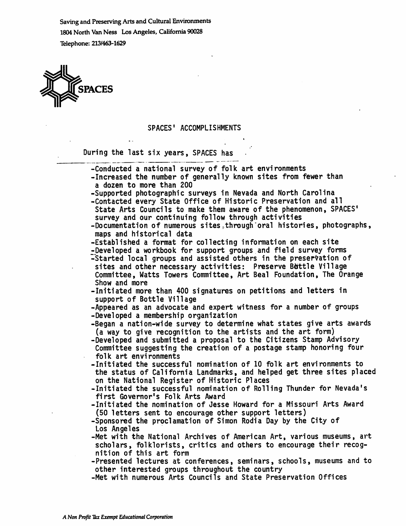Saving and Preserving Arts and Cultural Environments 1804 North Van Ness Los Angeles, California 90028 Telephone: 213/463-1629

 $\ddot{\phantom{a}}$ 



## SPACES' ACCOMPLISHMENTS

During the last six years, SPACES has

| -Conducted a national survey of folk art environments<br>-Increased the number of generally known sites from fewer than<br>a dozen to more than 200 |
|-----------------------------------------------------------------------------------------------------------------------------------------------------|
| -Supported photographic surveys in Nevada and North Carolina                                                                                        |
| -Contacted every State Office of Historic Preservation and all                                                                                      |
| State Arts Councils to make them aware of the phenomenon, SPACES'<br>survey and our continuing follow through activities                            |
| -Documentation of numerous sites, through oral histories, photographs,<br>maps and historical data                                                  |
| -Established a format for collecting information on each site                                                                                       |
| -Developed a workbook for support groups and field survey forms                                                                                     |
| -Started local groups and assisted others in the preservation of                                                                                    |
| sites and other necessary activities: Preserve Bottle Village                                                                                       |
| Committee, Watts Towers Committee, Art Beal Foundation, The Orange                                                                                  |
| Show and more                                                                                                                                       |
| -Initiated more than 400 signatures on petitions and letters in                                                                                     |
| support of Bottle Village                                                                                                                           |
| -Appeared as an advocate and expert witness for a number of groups                                                                                  |
| -Developed a membership organization                                                                                                                |
| -Began a nation-wide survey to determine what states give arts awards                                                                               |
| (a way to give recognition to the artists and the art form)                                                                                         |
| -Developed and submitted a proposal to the Citizens Stamp Advisory                                                                                  |
| Committee suggesting the creation of a postage stamp honoring four                                                                                  |
| folk art environments                                                                                                                               |
| -Initiated the successful nomination of 10 folk art environments to                                                                                 |
| the status of California Landmarks, and helped get three sites placed<br>on the National Register of Historic Places                                |
| -Initiated the successful nomination of Rolling Thunder for Nevada's                                                                                |
| first Governor's Folk Arts Award                                                                                                                    |
| -Initiated the nomination of Jesse Howard for a Missouri Arts Award                                                                                 |
| (50 letters sent to encourage other support letters)                                                                                                |
| -Sponsored the proclamation of Simon Rodia Day by the City of                                                                                       |
| Los Angeles                                                                                                                                         |
| -Met with the National Archives of American Art, various museums, art                                                                               |
| scholars, folklorists, critics and others to encourage their recog-                                                                                 |
| nition of this art form                                                                                                                             |
| -Presented lectures at conferences, seminars, schools, museums and to                                                                               |
| other interested groups throughout the country                                                                                                      |
| -Met with numerous Arts Councils and State Preservation Offices                                                                                     |
|                                                                                                                                                     |